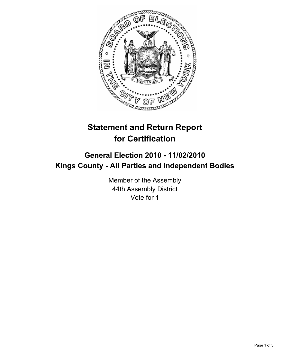

## **Statement and Return Report for Certification**

## **General Election 2010 - 11/02/2010 Kings County - All Parties and Independent Bodies**

Member of the Assembly 44th Assembly District Vote for 1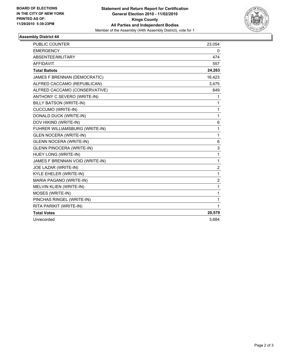

## **Assembly District 44**

| <b>PUBLIC COUNTER</b>            | 23,054         |
|----------------------------------|----------------|
| <b>EMERGENCY</b>                 | 0              |
| ABSENTEE/MILITARY                | 474            |
| <b>AFFIDAVIT</b>                 | 557            |
| <b>Total Ballots</b>             | 24,263         |
| JAMES F BRENNAN (DEMOCRATIC)     | 16,423         |
| ALFRED CACCAMO (REPUBLICAN)      | 3,475          |
| ALFRED CACCAMO (CONSERVATIVE)    | 649            |
| ANTHONY C SEVERO (WRITE-IN)      | 1              |
| BILLY BATSON (WRITE-IN)          | 1              |
| <b>CUCCUMO (WRITE-IN)</b>        | 1              |
| DONALD DUCK (WRITE-IN)           | 1              |
| DOV HIKIND (WRITE-IN)            | 6              |
| FUHRER WILLIAMSBURG (WRITE-IN)   | 1              |
| <b>GLEN NOCERA (WRITE-IN)</b>    | 1              |
| <b>GLENN NOCERA (WRITE-IN)</b>   | 6              |
| <b>GLENN PINOCERA (WRITE-IN)</b> | 3              |
| HUEY LONG (WRITE-IN)             | $\mathbf{1}$   |
| JAMES F BRENNAN VOID (WRITE-IN)  | 1              |
| JOE LAZAR (WRITE-IN)             | $\overline{2}$ |
| KYLE EHELER (WRITE-IN)           | $\mathbf{1}$   |
| MARIA PAGANO (WRITE-IN)          | $\overline{2}$ |
| MELVIN KLIEN (WRITE-IN)          | $\mathbf{1}$   |
| MOSES (WRITE-IN)                 | 1              |
| PINCHAS RINGEL (WRITE-IN)        | 1              |
| RITA PARIKIT (WRITE-IN)          | $\mathbf{1}$   |
| <b>Total Votes</b>               | 20,579         |
| Unrecorded                       | 3,684          |